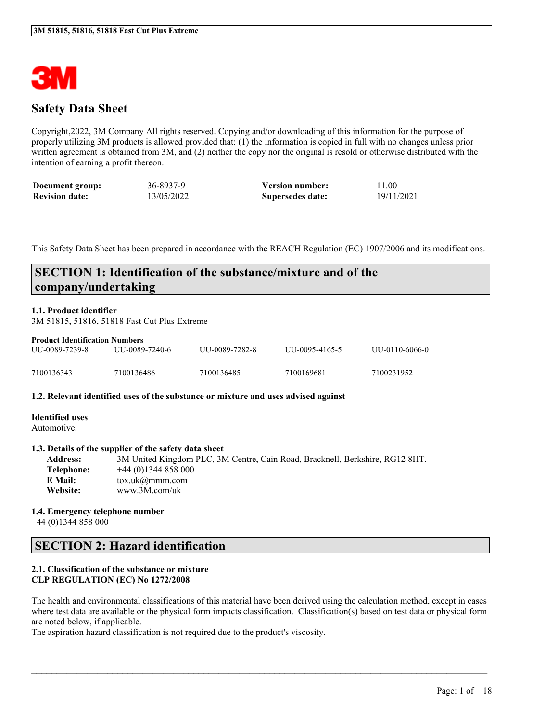

### **Safety Data Sheet**

Copyright,2022, 3M Company All rights reserved. Copying and/or downloading of this information for the purpose of properly utilizing 3M products is allowed provided that: (1) the information is copied in full with no changes unless prior written agreement is obtained from 3M, and (2) neither the copy nor the original is resold or otherwise distributed with the intention of earning a profit thereon.

| Document group:       | 36-8937-9  | <b>Version number:</b> | 11.00      |
|-----------------------|------------|------------------------|------------|
| <b>Revision date:</b> | 13/05/2022 | Supersedes date:       | 19/11/2021 |

This Safety Data Sheet has been prepared in accordance with the REACH Regulation (EC) 1907/2006 and its modifications.

### **SECTION 1: Identification of the substance/mixture and of the company/undertaking**

#### **1.1. Product identifier**

3M 51815, 51816, 51818 Fast Cut Plus Extreme

| <b>Product Identification Numbers</b> |                |                 |                |                |  |  |
|---------------------------------------|----------------|-----------------|----------------|----------------|--|--|
| UU-0089-7239-8                        | UU-0089-7240-6 | ULL-0089-7282-8 | UU-0095-4165-5 | UU-0110-6066-0 |  |  |
| 7100136343                            | 7100136486     | 7100136485      | 7100169681     | 7100231952     |  |  |

#### **1.2. Relevant identified uses of the substance or mixture and uses advised against**

**Identified uses** Automotive.

#### **1.3. Details of the supplier of the safety data sheet**

**Address:** 3M United Kingdom PLC, 3M Centre, Cain Road, Bracknell, Berkshire, RG12 8HT. **Telephone:** +44 (0)1344 858 000 **E Mail:** tox.uk@mmm.com **Website:** www.3M.com/uk

#### **1.4. Emergency telephone number** +44 (0)1344 858 000

### **SECTION 2: Hazard identification**

#### **2.1. Classification of the substance or mixture CLP REGULATION (EC) No 1272/2008**

The health and environmental classifications of this material have been derived using the calculation method, except in cases where test data are available or the physical form impacts classification. Classification(s) based on test data or physical form are noted below, if applicable.

 $\mathcal{L}_\mathcal{L} = \mathcal{L}_\mathcal{L} = \mathcal{L}_\mathcal{L} = \mathcal{L}_\mathcal{L} = \mathcal{L}_\mathcal{L} = \mathcal{L}_\mathcal{L} = \mathcal{L}_\mathcal{L} = \mathcal{L}_\mathcal{L} = \mathcal{L}_\mathcal{L} = \mathcal{L}_\mathcal{L} = \mathcal{L}_\mathcal{L} = \mathcal{L}_\mathcal{L} = \mathcal{L}_\mathcal{L} = \mathcal{L}_\mathcal{L} = \mathcal{L}_\mathcal{L} = \mathcal{L}_\mathcal{L} = \mathcal{L}_\mathcal{L}$ 

The aspiration hazard classification is not required due to the product's viscosity.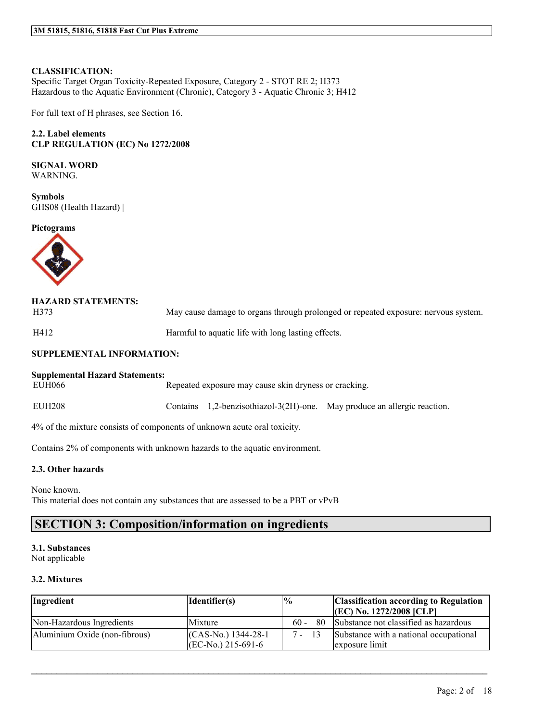#### **CLASSIFICATION:**

Specific Target Organ Toxicity-Repeated Exposure, Category 2 - STOT RE 2; H373 Hazardous to the Aquatic Environment (Chronic), Category 3 - Aquatic Chronic 3; H412

For full text of H phrases, see Section 16.

#### **2.2. Label elements CLP REGULATION (EC) No 1272/2008**

# **SIGNAL WORD**

WARNING.

**Symbols** GHS08 (Health Hazard) |

**Pictograms**



| <b>HAZARD STATEMENTS:</b><br>H373 | May cause damage to organs through prolonged or repeated exposure: nervous system. |
|-----------------------------------|------------------------------------------------------------------------------------|
| H412                              | Harmful to aquatic life with long lasting effects.                                 |
| CHINNI EMENIT AT INIEODM ATION.   |                                                                                    |

#### **SUPPLEMENTAL INFORMATION:**

# **Supplemental Hazard Statements:**

Repeated exposure may cause skin dryness or cracking.

EUH208 Contains 1,2-benzisothiazol-3(2H)-one. May produce an allergic reaction.

4% of the mixture consists of components of unknown acute oral toxicity.

Contains 2% of components with unknown hazards to the aquatic environment.

#### **2.3. Other hazards**

None known. This material does not contain any substances that are assessed to be a PBT or vPvB

### **SECTION 3: Composition/information on ingredients**

### **3.1. Substances**

Not applicable

#### **3.2. Mixtures**

| Ingredient                    | $\vert$ Identifier $(s)$ | $\frac{10}{6}$ | <b>Classification according to Regulation</b> |
|-------------------------------|--------------------------|----------------|-----------------------------------------------|
|                               |                          |                | $ (EC)$ No. 1272/2008 $ CLP $                 |
| Non-Hazardous Ingredients     | Mixture                  | $60 -$<br>80.  | Substance not classified as hazardous         |
| Aluminium Oxide (non-fibrous) | $(CAS-N0)$ 1344-28-1     | $7 - 13$       | Substance with a national occupational        |
|                               | $ (EC-N0, 215-691-6) $   |                | exposure limit                                |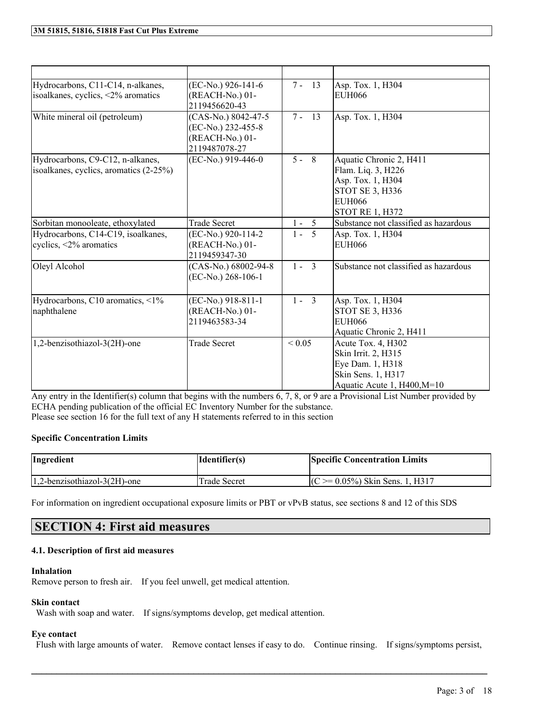| Hydrocarbons, C11-C14, n-alkanes,<br>isoalkanes, cyclics, <2% aromatics    | (EC-No.) 926-141-6<br>(REACH-No.) 01-<br>2119456620-43                        | $7 -$<br>13             | Asp. Tox. 1, H304<br><b>EUH066</b>                                                                                                      |
|----------------------------------------------------------------------------|-------------------------------------------------------------------------------|-------------------------|-----------------------------------------------------------------------------------------------------------------------------------------|
| White mineral oil (petroleum)                                              | (CAS-No.) 8042-47-5<br>(EC-No.) 232-455-8<br>(REACH-No.) 01-<br>2119487078-27 | $7 -$<br>13             | Asp. Tox. 1, H304                                                                                                                       |
| Hydrocarbons, C9-C12, n-alkanes,<br>isoalkanes, cyclics, aromatics (2-25%) | (EC-No.) 919-446-0                                                            | $5 - 8$                 | Aquatic Chronic 2, H411<br>Flam. Liq. 3, H226<br>Asp. Tox. 1, H304<br><b>STOT SE 3, H336</b><br><b>EUH066</b><br><b>STOT RE 1, H372</b> |
| Sorbitan monooleate, ethoxylated                                           | <b>Trade Secret</b>                                                           | $1 -$<br>5              | Substance not classified as hazardous                                                                                                   |
| Hydrocarbons, C14-C19, isoalkanes,<br>cyclics, $\langle 2\%$ aromatics     | (EC-No.) 920-114-2<br>(REACH-No.) 01-<br>2119459347-30                        | 5<br>$1 -$              | Asp. Tox. 1, H304<br><b>EUH066</b>                                                                                                      |
| Oleyl Alcohol                                                              | (CAS-No.) 68002-94-8<br>$(EC-No.) 268-106-1$                                  | $\overline{3}$<br>$1 -$ | Substance not classified as hazardous                                                                                                   |
| Hydrocarbons, C10 aromatics, <1%<br>naphthalene                            | $(EC-N0.) 918-811-1$<br>(REACH-No.) 01-<br>2119463583-34                      | $1 - 3$                 | Asp. Tox. 1, H304<br><b>STOT SE 3, H336</b><br><b>EUH066</b><br>Aquatic Chronic 2, H411                                                 |
| 1,2-benzisothiazol-3(2H)-one                                               | <b>Trade Secret</b>                                                           | ${}_{0.05}$             | Acute Tox. 4, H302<br>Skin Irrit. 2, H315<br>Eye Dam. 1, H318<br>Skin Sens. 1, H317<br>Aquatic Acute 1, H400, M=10                      |

Any entry in the Identifier(s) column that begins with the numbers 6, 7, 8, or 9 are a Provisional List Number provided by ECHA pending publication of the official EC Inventory Number for the substance. Please see section 16 for the full text of any H statements referred to in this section

#### **Specific Concentration Limits**

| Ingredient                      | Identifier(s)       | <b>Specific Concentration Limits</b> |
|---------------------------------|---------------------|--------------------------------------|
| $1,2$ -benzisothiazol-3(2H)-one | <b>Trade Secret</b> | $(C \ge 0.05\%)$ Skin Sens. 1, H317  |

For information on ingredient occupational exposure limits or PBT or vPvB status, see sections 8 and 12 of this SDS

### **SECTION 4: First aid measures**

#### **4.1. Description of first aid measures**

#### **Inhalation**

Remove person to fresh air. If you feel unwell, get medical attention.

#### **Skin contact**

Wash with soap and water. If signs/symptoms develop, get medical attention.

### **Eye contact**

Flush with large amounts of water. Remove contact lenses if easy to do. Continue rinsing. If signs/symptoms persist,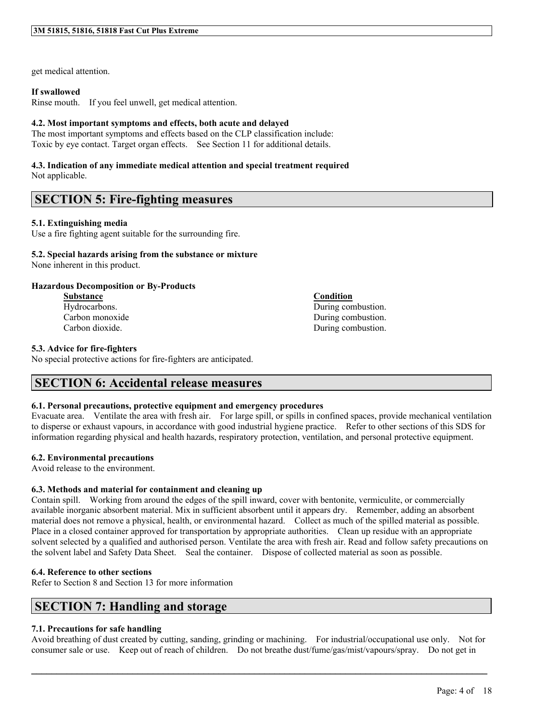get medical attention.

#### **If swallowed**

Rinse mouth. If you feel unwell, get medical attention.

#### **4.2. Most important symptoms and effects, both acute and delayed**

The most important symptoms and effects based on the CLP classification include: Toxic by eye contact. Target organ effects. See Section 11 for additional details.

# **4.3. Indication of any immediate medical attention and special treatment required**

Not applicable.

### **SECTION 5: Fire-fighting measures**

#### **5.1. Extinguishing media**

Use a fire fighting agent suitable for the surrounding fire.

#### **5.2. Special hazards arising from the substance or mixture**

None inherent in this product.

#### **Hazardous Decomposition or By-Products**

**Substance Condition**

#### **5.3. Advice for fire-fighters**

No special protective actions for fire-fighters are anticipated.

### **SECTION 6: Accidental release measures**

#### **6.1. Personal precautions, protective equipment and emergency procedures**

Evacuate area. Ventilate the area with fresh air. For large spill, or spills in confined spaces, provide mechanical ventilation to disperse or exhaust vapours, in accordance with good industrial hygiene practice. Refer to other sections of this SDS for information regarding physical and health hazards, respiratory protection, ventilation, and personal protective equipment.

#### **6.2. Environmental precautions**

Avoid release to the environment.

#### **6.3. Methods and material for containment and cleaning up**

Contain spill. Working from around the edges of the spill inward, cover with bentonite, vermiculite, or commercially available inorganic absorbent material. Mix in sufficient absorbent until it appears dry. Remember, adding an absorbent material does not remove a physical, health, or environmental hazard. Collect as much of the spilled material as possible. Place in a closed container approved for transportation by appropriate authorities. Clean up residue with an appropriate solvent selected by a qualified and authorised person. Ventilate the area with fresh air. Read and follow safety precautions on the solvent label and Safety Data Sheet. Seal the container. Dispose of collected material as soon as possible.

#### **6.4. Reference to other sections**

Refer to Section 8 and Section 13 for more information

### **SECTION 7: Handling and storage**

#### **7.1. Precautions for safe handling**

Avoid breathing of dust created by cutting, sanding, grinding or machining. For industrial/occupational use only. Not for consumer sale or use. Keep out of reach of children. Do not breathe dust/fume/gas/mist/vapours/spray. Do not get in

 $\mathcal{L}_\mathcal{L} = \mathcal{L}_\mathcal{L} = \mathcal{L}_\mathcal{L} = \mathcal{L}_\mathcal{L} = \mathcal{L}_\mathcal{L} = \mathcal{L}_\mathcal{L} = \mathcal{L}_\mathcal{L} = \mathcal{L}_\mathcal{L} = \mathcal{L}_\mathcal{L} = \mathcal{L}_\mathcal{L} = \mathcal{L}_\mathcal{L} = \mathcal{L}_\mathcal{L} = \mathcal{L}_\mathcal{L} = \mathcal{L}_\mathcal{L} = \mathcal{L}_\mathcal{L} = \mathcal{L}_\mathcal{L} = \mathcal{L}_\mathcal{L}$ 

## Hydrocarbons. During combustion. Carbon monoxide During combustion. Carbon dioxide. During combustion.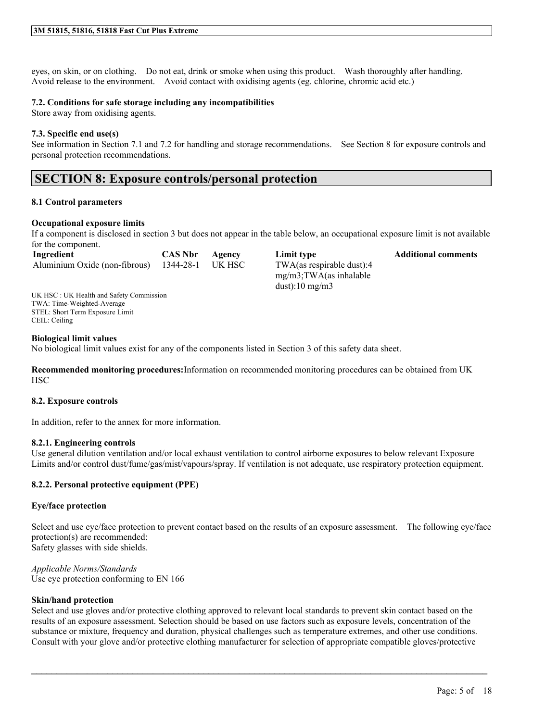eyes, on skin, or on clothing. Do not eat, drink or smoke when using this product. Wash thoroughly after handling. Avoid release to the environment. Avoid contact with oxidising agents (eg. chlorine, chromic acid etc.)

#### **7.2. Conditions for safe storage including any incompatibilities**

Store away from oxidising agents.

#### **7.3. Specific end use(s)**

See information in Section 7.1 and 7.2 for handling and storage recommendations. See Section 8 for exposure controls and personal protection recommendations.

### **SECTION 8: Exposure controls/personal protection**

#### **8.1 Control parameters**

#### **Occupational exposure limits**

If a component is disclosed in section 3 but does not appear in the table below, an occupational exposure limit is not available for the component.

dust):10 mg/m3

| Ingredient                                     | <b>CAS Nbr</b> Agency | Limit type                 | <b>Additional comments</b> |
|------------------------------------------------|-----------------------|----------------------------|----------------------------|
| Aluminium Oxide (non-fibrous) 1344-28-1 UK HSC |                       | TWA(as respirable dust):4  |                            |
|                                                |                       | $mg/m3$ ; TWA(as inhalable |                            |

UK HSC : UK Health and Safety Commission TWA: Time-Weighted-Average STEL: Short Term Exposure Limit CEIL: Ceiling

#### **Biological limit values**

No biological limit values exist for any of the components listed in Section 3 of this safety data sheet.

**Recommended monitoring procedures:**Information on recommended monitoring procedures can be obtained from UK **HSC** 

#### **8.2. Exposure controls**

In addition, refer to the annex for more information.

#### **8.2.1. Engineering controls**

Use general dilution ventilation and/or local exhaust ventilation to control airborne exposures to below relevant Exposure Limits and/or control dust/fume/gas/mist/vapours/spray. If ventilation is not adequate, use respiratory protection equipment.

#### **8.2.2. Personal protective equipment (PPE)**

#### **Eye/face protection**

Select and use eye/face protection to prevent contact based on the results of an exposure assessment. The following eye/face protection(s) are recommended: Safety glasses with side shields.

*Applicable Norms/Standards* Use eye protection conforming to EN 166

#### **Skin/hand protection**

Select and use gloves and/or protective clothing approved to relevant local standards to prevent skin contact based on the results of an exposure assessment. Selection should be based on use factors such as exposure levels, concentration of the substance or mixture, frequency and duration, physical challenges such as temperature extremes, and other use conditions. Consult with your glove and/or protective clothing manufacturer for selection of appropriate compatible gloves/protective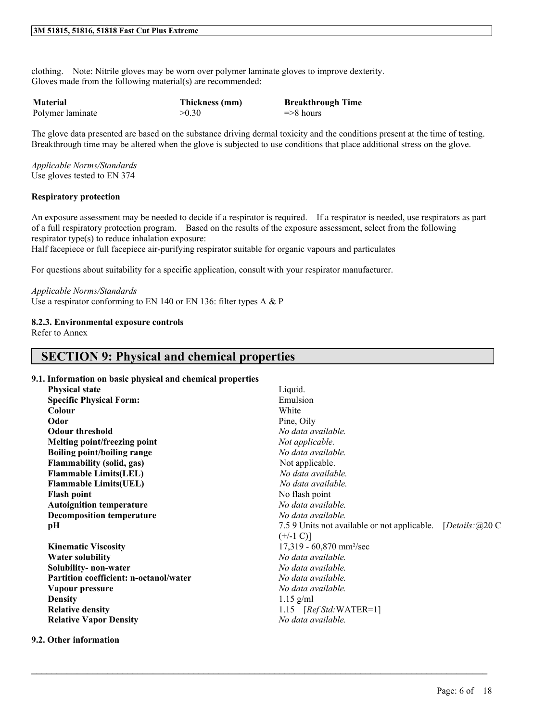clothing. Note: Nitrile gloves may be worn over polymer laminate gloves to improve dexterity. Gloves made from the following material(s) are recommended:

| <b>Material</b>  | Thickness (mm) | <b>Breakthrough Time</b> |
|------------------|----------------|--------------------------|
| Polymer laminate | >0.30          | $\Rightarrow$ 8 hours    |

The glove data presented are based on the substance driving dermal toxicity and the conditions present at the time of testing. Breakthrough time may be altered when the glove is subjected to use conditions that place additional stress on the glove.

*Applicable Norms/Standards* Use gloves tested to EN 374

#### **Respiratory protection**

An exposure assessment may be needed to decide if a respirator is required. If a respirator is needed, use respirators as part of a full respiratory protection program. Based on the results of the exposure assessment, select from the following respirator type(s) to reduce inhalation exposure:

Half facepiece or full facepiece air-purifying respirator suitable for organic vapours and particulates

For questions about suitability for a specific application, consult with your respirator manufacturer.

#### *Applicable Norms/Standards*

Use a respirator conforming to EN 140 or EN 136: filter types A & P

#### **8.2.3. Environmental exposure controls**

Refer to Annex

### **SECTION 9: Physical and chemical properties**

#### **9.1. Information on basic physical and chemical properties**

| <b>Physical state</b>                         | Liquid.                                                              |
|-----------------------------------------------|----------------------------------------------------------------------|
| <b>Specific Physical Form:</b>                | Emulsion                                                             |
| Colour                                        | White                                                                |
| Odor                                          | Pine, Oily                                                           |
| <b>Odour threshold</b>                        | No data available.                                                   |
| Melting point/freezing point                  | Not applicable.                                                      |
| Boiling point/boiling range                   | No data available.                                                   |
| <b>Flammability (solid, gas)</b>              | Not applicable.                                                      |
| <b>Flammable Limits(LEL)</b>                  | No data available.                                                   |
| <b>Flammable Limits(UEL)</b>                  | No data available.                                                   |
| <b>Flash point</b>                            | No flash point                                                       |
| <b>Autoignition temperature</b>               | No data available.                                                   |
| <b>Decomposition temperature</b>              | No data available.                                                   |
| pH                                            | [Details: $(a)$ 20 C<br>7.5 9 Units not available or not applicable. |
|                                               | $(+/-1 C)$ ]                                                         |
| <b>Kinematic Viscosity</b>                    | 17,319 - 60,870 mm <sup>2</sup> /sec                                 |
| <b>Water solubility</b>                       | No data available.                                                   |
| Solubility- non-water                         | No data available.                                                   |
| <b>Partition coefficient: n-octanol/water</b> | No data available.                                                   |
| Vapour pressure                               | No data available.                                                   |
| <b>Density</b>                                | $1.15$ g/ml                                                          |
| <b>Relative density</b>                       | 1.15 $[RefStd:WATER=1]$                                              |
| <b>Relative Vapor Density</b>                 | No data available.                                                   |
|                                               |                                                                      |

 $\mathcal{L}_\mathcal{L} = \mathcal{L}_\mathcal{L} = \mathcal{L}_\mathcal{L} = \mathcal{L}_\mathcal{L} = \mathcal{L}_\mathcal{L} = \mathcal{L}_\mathcal{L} = \mathcal{L}_\mathcal{L} = \mathcal{L}_\mathcal{L} = \mathcal{L}_\mathcal{L} = \mathcal{L}_\mathcal{L} = \mathcal{L}_\mathcal{L} = \mathcal{L}_\mathcal{L} = \mathcal{L}_\mathcal{L} = \mathcal{L}_\mathcal{L} = \mathcal{L}_\mathcal{L} = \mathcal{L}_\mathcal{L} = \mathcal{L}_\mathcal{L}$ 

#### **9.2. Other information**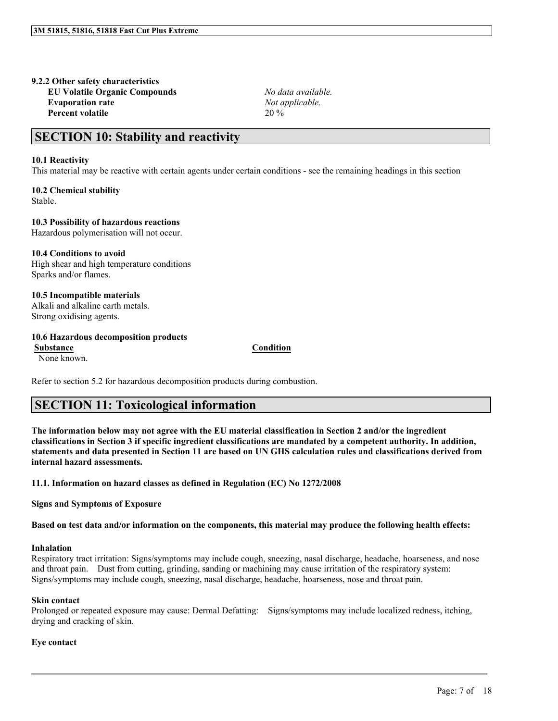#### **9.2.2 Other safety characteristics EU Volatile Organic Compounds** *No data available.*

**Evaporation rate** *Not applicable.* **Percent volatile** 20 %

## **SECTION 10: Stability and reactivity**

#### **10.1 Reactivity**

This material may be reactive with certain agents under certain conditions - see the remaining headings in this section

**10.2 Chemical stability** Stable.

**10.3 Possibility of hazardous reactions** Hazardous polymerisation will not occur.

**10.4 Conditions to avoid** High shear and high temperature conditions Sparks and/or flames.

**10.5 Incompatible materials** Alkali and alkaline earth metals. Strong oxidising agents.

#### **10.6 Hazardous decomposition products**

**Substance Condition**

None known.

Refer to section 5.2 for hazardous decomposition products during combustion.

### **SECTION 11: Toxicological information**

The information below may not agree with the EU material classification in Section 2 and/or the ingredient classifications in Section 3 if specific ingredient classifications are mandated by a competent authority. In addition, statements and data presented in Section 11 are based on UN GHS calculation rules and classifications derived from **internal hazard assessments.**

**11.1. Information on hazard classes as defined in Regulation (EC) No 1272/2008**

**Signs and Symptoms of Exposure**

Based on test data and/or information on the components, this material may produce the following health effects:

#### **Inhalation**

Respiratory tract irritation: Signs/symptoms may include cough, sneezing, nasal discharge, headache, hoarseness, and nose and throat pain. Dust from cutting, grinding, sanding or machining may cause irritation of the respiratory system: Signs/symptoms may include cough, sneezing, nasal discharge, headache, hoarseness, nose and throat pain.

#### **Skin contact**

Prolonged or repeated exposure may cause: Dermal Defatting: Signs/symptoms may include localized redness, itching, drying and cracking of skin.

 $\mathcal{L}_\mathcal{L} = \mathcal{L}_\mathcal{L} = \mathcal{L}_\mathcal{L} = \mathcal{L}_\mathcal{L} = \mathcal{L}_\mathcal{L} = \mathcal{L}_\mathcal{L} = \mathcal{L}_\mathcal{L} = \mathcal{L}_\mathcal{L} = \mathcal{L}_\mathcal{L} = \mathcal{L}_\mathcal{L} = \mathcal{L}_\mathcal{L} = \mathcal{L}_\mathcal{L} = \mathcal{L}_\mathcal{L} = \mathcal{L}_\mathcal{L} = \mathcal{L}_\mathcal{L} = \mathcal{L}_\mathcal{L} = \mathcal{L}_\mathcal{L}$ 

#### **Eye contact**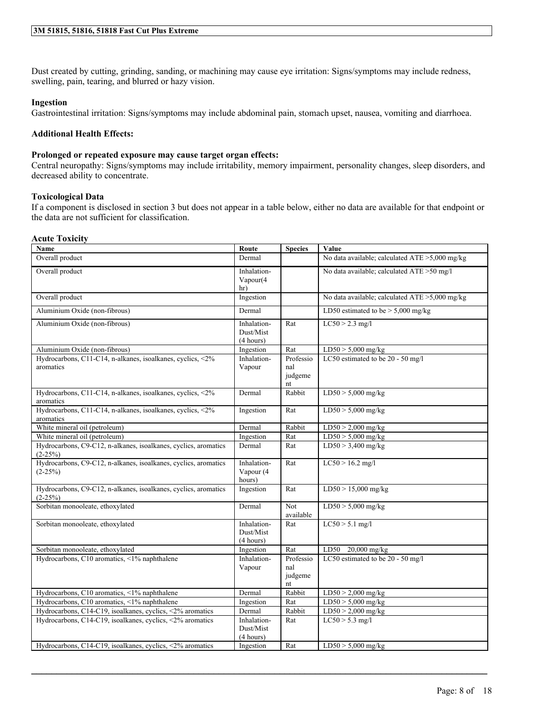Dust created by cutting, grinding, sanding, or machining may cause eye irritation: Signs/symptoms may include redness, swelling, pain, tearing, and blurred or hazy vision.

#### **Ingestion**

Gastrointestinal irritation: Signs/symptoms may include abdominal pain, stomach upset, nausea, vomiting and diarrhoea.

#### **Additional Health Effects:**

#### **Prolonged or repeated exposure may cause target organ effects:**

Central neuropathy: Signs/symptoms may include irritability, memory impairment, personality changes, sleep disorders, and decreased ability to concentrate.

#### **Toxicological Data**

If a component is disclosed in section 3 but does not appear in a table below, either no data are available for that endpoint or the data are not sufficient for classification.

#### **Acute Toxicity**

| Name                                                                         | Route                                 | <b>Species</b>                    | Value                                          |
|------------------------------------------------------------------------------|---------------------------------------|-----------------------------------|------------------------------------------------|
| Overall product                                                              | Dermal                                |                                   | No data available; calculated ATE >5,000 mg/kg |
| Overall product                                                              | Inhalation-<br>Vapour(4<br>hr)        |                                   | No data available; calculated ATE > 50 mg/l    |
| Overall product                                                              | Ingestion                             |                                   | No data available; calculated ATE >5,000 mg/kg |
| Aluminium Oxide (non-fibrous)                                                | Dermal                                |                                   | LD50 estimated to be $> 5,000$ mg/kg           |
| Aluminium Oxide (non-fibrous)                                                | Inhalation-<br>Dust/Mist<br>(4 hours) | Rat                               | $LC50 > 2.3$ mg/l                              |
| Aluminium Oxide (non-fibrous)                                                | Ingestion                             | Rat                               | $LD50 > 5,000$ mg/kg                           |
| Hydrocarbons, C11-C14, n-alkanes, isoalkanes, cyclics, <2%<br>aromatics      | Inhalation-<br>Vapour                 | Professio<br>nal<br>judgeme<br>nt | LC50 estimated to be 20 - 50 mg/l              |
| Hydrocarbons, C11-C14, n-alkanes, isoalkanes, cyclics, <2%<br>aromatics      | Dermal                                | Rabbit                            | $LD50 > 5,000$ mg/kg                           |
| Hydrocarbons, C11-C14, n-alkanes, isoalkanes, cyclics, <2%<br>aromatics      | Ingestion                             | Rat                               | $LD50 > 5,000$ mg/kg                           |
| White mineral oil (petroleum)                                                | Dermal                                | Rabbit                            | $LD50 > 2,000$ mg/kg                           |
| White mineral oil (petroleum)                                                | Ingestion                             | Rat                               | $LD50 > 5,000$ mg/kg                           |
| Hydrocarbons, C9-C12, n-alkanes, isoalkanes, cyclics, aromatics<br>$(2-25%)$ | Dermal                                | Rat                               | $LD50 > 3,400$ mg/kg                           |
| Hydrocarbons, C9-C12, n-alkanes, isoalkanes, cyclics, aromatics<br>$(2-25%)$ | Inhalation-<br>Vapour (4<br>hours)    | Rat                               | $LC50 > 16.2$ mg/l                             |
| Hydrocarbons, C9-C12, n-alkanes, isoalkanes, cyclics, aromatics<br>$(2-25%)$ | Ingestion                             | Rat                               | $LD50 > 15,000$ mg/kg                          |
| Sorbitan monooleate, ethoxylated                                             | Dermal                                | Not<br>available                  | $LD50 > 5,000$ mg/kg                           |
| Sorbitan monooleate, ethoxylated                                             | Inhalation-<br>Dust/Mist<br>(4 hours) | Rat                               | $LC50 > 5.1$ mg/l                              |
| Sorbitan monooleate, ethoxylated                                             | Ingestion                             | Rat                               | LD50 20,000 mg/kg                              |
| Hydrocarbons, C10 aromatics, <1% naphthalene                                 | Inhalation-<br>Vapour                 | Professio<br>nal<br>judgeme<br>nt | LC50 estimated to be 20 - 50 mg/l              |
| Hydrocarbons, C10 aromatics, <1% naphthalene                                 | Dermal                                | Rabbit                            | $LD50 > 2,000$ mg/kg                           |
| Hydrocarbons, C10 aromatics, <1% naphthalene                                 | Ingestion                             | Rat                               | $LD50 > 5,000$ mg/kg                           |
| Hydrocarbons, C14-C19, isoalkanes, cyclics, <2% aromatics                    | Dermal                                | Rabbit                            | $LD50 > 2,000$ mg/kg                           |
| Hydrocarbons, C14-C19, isoalkanes, cyclics, <2% aromatics                    | Inhalation-<br>Dust/Mist<br>(4 hours) | Rat                               | $LC50 > 5.3$ mg/l                              |
| Hydrocarbons, C14-C19, isoalkanes, cyclics, <2% aromatics                    | Ingestion                             | Rat                               | $LD50 > 5,000$ mg/kg                           |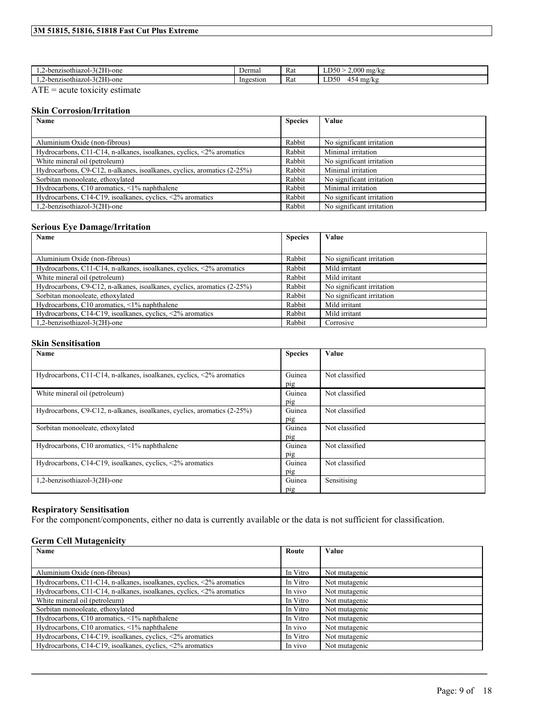| (2.7)<br>H)-one<br>-benzisothiazol-30      | Dermal    | $\sim$<br><b>Rat</b> | $.000$ mg/kg<br>$-250$<br>⊷                    |
|--------------------------------------------|-----------|----------------------|------------------------------------------------|
| (2.7)<br>H)-one<br>-benzisothiazol-30<br>. | Ingestion | $\sim$<br><b>Rat</b> | $\sim$<br><b>D50</b><br>mg/kg<br>154<br>≖<br>τ |

 $\overline{ATE}$  = acute toxicity estimate

#### **Skin Corrosion/Irritation**

| Name                                                                           | <b>Species</b> | Value                     |
|--------------------------------------------------------------------------------|----------------|---------------------------|
|                                                                                |                |                           |
| Aluminium Oxide (non-fibrous)                                                  | Rabbit         | No significant irritation |
| Hydrocarbons, C11-C14, n-alkanes, isoalkanes, cyclics, $\langle 2\%$ aromatics | Rabbit         | Minimal irritation        |
| White mineral oil (petroleum)                                                  | Rabbit         | No significant irritation |
| Hydrocarbons, C9-C12, n-alkanes, isoalkanes, cyclics, aromatics (2-25%)        | Rabbit         | Minimal irritation        |
| Sorbitan monooleate, ethoxylated                                               | Rabbit         | No significant irritation |
| Hydrocarbons, $C10$ aromatics, $\leq 1\%$ naphthalene                          | Rabbit         | Minimal irritation        |
| Hydrocarbons, C14-C19, isoalkanes, cyclics, <2% aromatics                      | Rabbit         | No significant irritation |
| 1,2-benzisothiazol-3(2H)-one                                                   | Rabbit         | No significant irritation |

#### **Serious Eye Damage/Irritation**

| Name                                                                           | <b>Species</b> | Value                     |
|--------------------------------------------------------------------------------|----------------|---------------------------|
|                                                                                |                |                           |
| Aluminium Oxide (non-fibrous)                                                  | Rabbit         | No significant irritation |
| Hydrocarbons, C11-C14, n-alkanes, isoalkanes, cyclics, $\langle 2\%$ aromatics | Rabbit         | Mild irritant             |
| White mineral oil (petroleum)                                                  | Rabbit         | Mild irritant             |
| Hydrocarbons, C9-C12, n-alkanes, isoalkanes, cyclics, aromatics (2-25%)        | Rabbit         | No significant irritation |
| Sorbitan monooleate, ethoxylated                                               | Rabbit         | No significant irritation |
| Hydrocarbons, $C10$ aromatics, $\leq 1\%$ naphthalene                          | Rabbit         | Mild irritant             |
| Hydrocarbons, C14-C19, isoalkanes, cyclics, <2% aromatics                      | Rabbit         | Mild irritant             |
| 1,2-benzisothiazol-3(2H)-one                                                   | Rabbit         | Corrosive                 |

#### **Skin Sensitisation**

| Name                                                                           | <b>Species</b> | Value          |
|--------------------------------------------------------------------------------|----------------|----------------|
|                                                                                |                |                |
| Hydrocarbons, C11-C14, n-alkanes, isoalkanes, cyclics, $\langle 2\%$ aromatics | Guinea         | Not classified |
|                                                                                | pig            |                |
| White mineral oil (petroleum)                                                  | Guinea         | Not classified |
|                                                                                | pig            |                |
| Hydrocarbons, C9-C12, n-alkanes, isoalkanes, cyclics, aromatics (2-25%)        | Guinea         | Not classified |
|                                                                                | pig            |                |
| Sorbitan monooleate, ethoxylated                                               | Guinea         | Not classified |
|                                                                                | pig            |                |
| Hydrocarbons, $C10$ aromatics, $\leq 1\%$ naphthalene                          | Guinea         | Not classified |
|                                                                                | pig            |                |
| Hydrocarbons, C14-C19, isoalkanes, cyclics, <2% aromatics                      | Guinea         | Not classified |
|                                                                                | pig            |                |
| 1,2-benzisothiazol-3(2H)-one                                                   | Guinea         | Sensitising    |
|                                                                                | pig            |                |

#### **Respiratory Sensitisation**

For the component/components, either no data is currently available or the data is not sufficient for classification.

#### **Germ Cell Mutagenicity**

| Name                                                                           | Route    | <b>Value</b>  |
|--------------------------------------------------------------------------------|----------|---------------|
|                                                                                |          |               |
| Aluminium Oxide (non-fibrous)                                                  | In Vitro | Not mutagenic |
| Hydrocarbons, C11-C14, n-alkanes, isoalkanes, cyclics, $\langle 2\%$ aromatics | In Vitro | Not mutagenic |
| Hydrocarbons, C11-C14, n-alkanes, isoalkanes, cyclics, <2% aromatics           | In vivo  | Not mutagenic |
| White mineral oil (petroleum)                                                  | In Vitro | Not mutagenic |
| Sorbitan monooleate, ethoxylated                                               | In Vitro | Not mutagenic |
| Hydrocarbons, $C10$ aromatics, $\leq 1\%$ naphthalene                          | In Vitro | Not mutagenic |
| Hydrocarbons, $C10$ aromatics, $\leq 1\%$ naphthalene                          | In vivo  | Not mutagenic |
| Hydrocarbons, C14-C19, isoalkanes, cyclics, $\langle 2\%$ aromatics            | In Vitro | Not mutagenic |
| Hydrocarbons, C14-C19, isoalkanes, cyclics, <2% aromatics                      | In vivo  | Not mutagenic |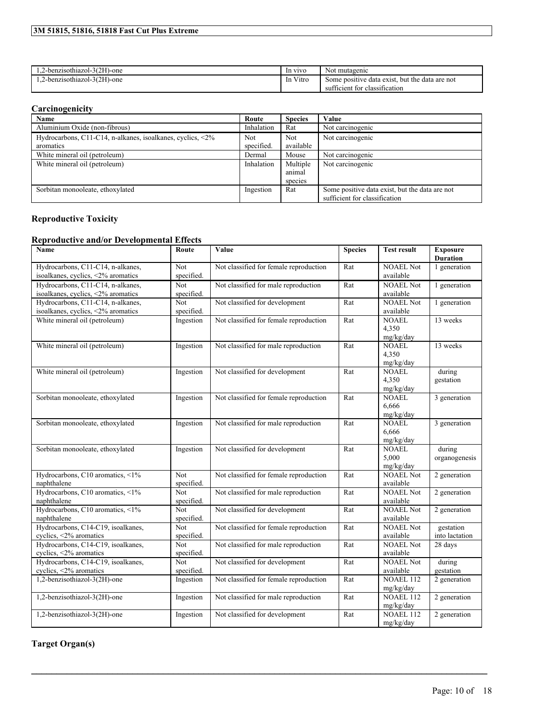| 3M 51815, 51816, 51818 Fast Cut Plus Extreme |  |  |  |  |  |
|----------------------------------------------|--|--|--|--|--|
|----------------------------------------------|--|--|--|--|--|

| 1.2-benzisothiazol-3(2H)-one | In vivo                                                     | No<br>t mutagenic                                         |
|------------------------------|-------------------------------------------------------------|-----------------------------------------------------------|
| 1.2-benzisothiazol-3(2H)-one | $\mathbf{v}$ . $\mathbf{v}$ .<br>In V<br>V <sub>1</sub> tro | but the<br>data are not<br>Some positive<br>data exist. • |
|                              |                                                             | sufficient for<br>classification :                        |

### **Carcinogenicity**

| Name                                                                                      | Route             | <b>Species</b>          | Value                                                                           |
|-------------------------------------------------------------------------------------------|-------------------|-------------------------|---------------------------------------------------------------------------------|
| Aluminium Oxide (non-fibrous)                                                             | Inhalation        | Rat                     | Not carcinogenic                                                                |
| Hydrocarbons, C11-C14, n-alkanes, isoalkanes, cyclics, $\langle 2\% \rangle$<br>aromatics | Not<br>specified. | <b>Not</b><br>available | Not carcinogenic                                                                |
| White mineral oil (petroleum)                                                             | Dermal            | Mouse                   | Not carcinogenic                                                                |
| White mineral oil (petroleum)                                                             | Inhalation        | Multiple                | Not carcinogenic                                                                |
|                                                                                           |                   | animal                  |                                                                                 |
|                                                                                           |                   | species                 |                                                                                 |
| Sorbitan monooleate, ethoxylated                                                          | Ingestion         | Rat                     | Some positive data exist, but the data are not<br>sufficient for classification |

### **Reproductive Toxicity**

### **Reproductive and/or Developmental Effects**

| Name                                                                    | Route                    | Value                                  | <b>Species</b> | <b>Test result</b>                 | <b>Exposure</b><br><b>Duration</b> |
|-------------------------------------------------------------------------|--------------------------|----------------------------------------|----------------|------------------------------------|------------------------------------|
| Hydrocarbons, C11-C14, n-alkanes,<br>isoalkanes, cyclics, <2% aromatics | Not<br>specified.        | Not classified for female reproduction | Rat            | <b>NOAEL Not</b><br>available      | 1 generation                       |
| Hydrocarbons, C11-C14, n-alkanes,<br>isoalkanes, cyclics, <2% aromatics | <b>Not</b><br>specified. | Not classified for male reproduction   | Rat            | <b>NOAEL Not</b><br>available      | 1 generation                       |
| Hydrocarbons, C11-C14, n-alkanes,<br>isoalkanes, cyclics, <2% aromatics | Not<br>specified.        | Not classified for development         | Rat            | <b>NOAEL Not</b><br>available      | 1 generation                       |
| White mineral oil (petroleum)                                           | Ingestion                | Not classified for female reproduction | Rat            | <b>NOAEL</b><br>4,350<br>mg/kg/day | 13 weeks                           |
| White mineral oil (petroleum)                                           | Ingestion                | Not classified for male reproduction   | Rat            | <b>NOAEL</b><br>4,350<br>mg/kg/day | 13 weeks                           |
| White mineral oil (petroleum)                                           | Ingestion                | Not classified for development         | Rat            | <b>NOAEL</b><br>4,350<br>mg/kg/day | during<br>gestation                |
| Sorbitan monooleate, ethoxylated                                        | Ingestion                | Not classified for female reproduction | Rat            | <b>NOAEL</b><br>6,666<br>mg/kg/day | 3 generation                       |
| Sorbitan monooleate, ethoxylated                                        | Ingestion                | Not classified for male reproduction   | Rat            | NOAEL<br>6.666<br>mg/kg/day        | 3 generation                       |
| Sorbitan monooleate, ethoxylated                                        | Ingestion                | Not classified for development         | Rat            | <b>NOAEL</b><br>5,000<br>mg/kg/day | during<br>organogenesis            |
| Hydrocarbons, C10 aromatics, <1%<br>naphthalene                         | Not.<br>specified.       | Not classified for female reproduction | Rat            | <b>NOAEL</b> Not<br>available      | 2 generation                       |
| Hydrocarbons, C10 aromatics, <1%<br>naphthalene                         | Not<br>specified.        | Not classified for male reproduction   | Rat            | <b>NOAEL Not</b><br>available      | 2 generation                       |
| Hydrocarbons, C10 aromatics, <1%<br>naphthalene                         | <b>Not</b><br>specified. | Not classified for development         | Rat            | <b>NOAEL Not</b><br>available      | 2 generation                       |
| Hydrocarbons, C14-C19, isoalkanes,<br>cyclics, <2% aromatics            | Not.<br>specified.       | Not classified for female reproduction | Rat            | <b>NOAEL Not</b><br>available      | gestation<br>into lactation        |
| Hydrocarbons, C14-C19, isoalkanes,<br>cyclics, <2% aromatics            | Not<br>specified.        | Not classified for male reproduction   | Rat            | <b>NOAEL Not</b><br>available      | 28 days                            |
| Hydrocarbons, C14-C19, isoalkanes,<br>cyclics, <2% aromatics            | Not<br>specified.        | Not classified for development         | Rat            | <b>NOAEL Not</b><br>available      | during<br>gestation                |
| 1,2-benzisothiazol-3(2H)-one                                            | Ingestion                | Not classified for female reproduction | Rat            | <b>NOAEL 112</b><br>mg/kg/day      | 2 generation                       |
| 1,2-benzisothiazol-3(2H)-one                                            | Ingestion                | Not classified for male reproduction   | Rat            | <b>NOAEL 112</b><br>mg/kg/day      | 2 generation                       |
| 1,2-benzisothiazol-3(2H)-one                                            | Ingestion                | Not classified for development         | Rat            | NOAEL 112<br>mg/kg/day             | 2 generation                       |

 $\mathcal{L}_\mathcal{L} = \mathcal{L}_\mathcal{L} = \mathcal{L}_\mathcal{L} = \mathcal{L}_\mathcal{L} = \mathcal{L}_\mathcal{L} = \mathcal{L}_\mathcal{L} = \mathcal{L}_\mathcal{L} = \mathcal{L}_\mathcal{L} = \mathcal{L}_\mathcal{L} = \mathcal{L}_\mathcal{L} = \mathcal{L}_\mathcal{L} = \mathcal{L}_\mathcal{L} = \mathcal{L}_\mathcal{L} = \mathcal{L}_\mathcal{L} = \mathcal{L}_\mathcal{L} = \mathcal{L}_\mathcal{L} = \mathcal{L}_\mathcal{L}$ 

**Target Organ(s)**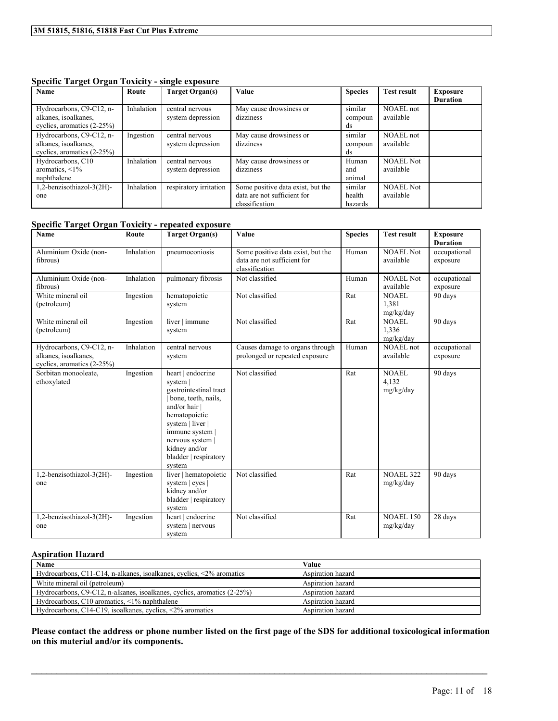**Specific Target Organ Toxicity - single exposure**

| Name                                             | Route      | Target Organ(s)                      | Value                                | <b>Species</b>     | <b>Test result</b>     | <b>Exposure</b> |
|--------------------------------------------------|------------|--------------------------------------|--------------------------------------|--------------------|------------------------|-----------------|
|                                                  |            |                                      |                                      |                    |                        | <b>Duration</b> |
| Hydrocarbons, C9-C12, n-<br>alkanes, isoalkanes, | Inhalation | central nervous<br>system depression | May cause drowsiness or<br>dizziness | similar<br>compoun | NOAEL not<br>available |                 |
| cyclics, aromatics $(2-25%)$                     |            |                                      |                                      | ds                 |                        |                 |
| Hydrocarbons, C9-C12, n-                         | Ingestion  | central nervous                      | May cause drowsiness or              | similar            | <b>NOAEL</b> not       |                 |
| alkanes, isoalkanes,                             |            | system depression                    | dizziness                            | compoun            | available              |                 |
| cyclics, aromatics $(2-25%)$                     |            |                                      |                                      | ds                 |                        |                 |
| Hydrocarbons, C10                                | Inhalation | central nervous                      | May cause drowsiness or              | Human              | <b>NOAEL Not</b>       |                 |
| aromatics, $\leq 1\%$                            |            | system depression                    | dizziness                            | and                | available              |                 |
| naphthalene                                      |            |                                      |                                      | animal             |                        |                 |
| 1,2-benzisothiazol-3(2H)-                        | Inhalation | respiratory irritation               | Some positive data exist, but the    | similar            | <b>NOAEL Not</b>       |                 |
| one                                              |            |                                      | data are not sufficient for          | health             | available              |                 |
|                                                  |            |                                      | classification                       | hazards            |                        |                 |

#### **Specific Target Organ Toxicity - repeated exposure**

| $\cdots$<br>$\cdots$<br>Name                                                   | Route      | <b>Target Organ(s)</b>                                                                                                                                                                                                          | Value                                                                              | <b>Species</b> | <b>Test result</b>                 | <b>Exposure</b><br><b>Duration</b> |
|--------------------------------------------------------------------------------|------------|---------------------------------------------------------------------------------------------------------------------------------------------------------------------------------------------------------------------------------|------------------------------------------------------------------------------------|----------------|------------------------------------|------------------------------------|
| Aluminium Oxide (non-<br>fibrous)                                              | Inhalation | pneumoconiosis                                                                                                                                                                                                                  | Some positive data exist, but the<br>data are not sufficient for<br>classification | Human          | <b>NOAEL Not</b><br>available      | occupational<br>exposure           |
| Aluminium Oxide (non-<br>fibrous)                                              | Inhalation | pulmonary fibrosis                                                                                                                                                                                                              | Not classified                                                                     | Human          | NOAEL Not<br>available             | occupational<br>exposure           |
| White mineral oil<br>(petroleum)                                               | Ingestion  | hematopoietic<br>system                                                                                                                                                                                                         | Not classified                                                                     | Rat            | <b>NOAEL</b><br>1,381<br>mg/kg/day | 90 days                            |
| White mineral oil<br>(petroleum)                                               | Ingestion  | liver   immune<br>system                                                                                                                                                                                                        | Not classified                                                                     | Rat            | <b>NOAEL</b><br>1.336<br>mg/kg/day | 90 days                            |
| Hydrocarbons, C9-C12, n-<br>alkanes, isoalkanes,<br>cyclics, aromatics (2-25%) | Inhalation | central nervous<br>system                                                                                                                                                                                                       | Causes damage to organs through<br>prolonged or repeated exposure                  | Human          | <b>NOAEL</b> not<br>available      | occupational<br>exposure           |
| Sorbitan monooleate,<br>ethoxylated                                            | Ingestion  | heart   endocrine<br>system  <br>gastrointestinal tract<br>bone, teeth, nails,<br>and/or hair  <br>hematopoietic<br>system   liver  <br>immune system  <br>nervous system  <br>kidney and/or<br>bladder   respiratory<br>system | Not classified                                                                     | Rat            | <b>NOAEL</b><br>4,132<br>mg/kg/day | 90 days                            |
| 1,2-benzisothiazol-3(2H)-<br>one                                               | Ingestion  | liver   hematopoietic<br>system   eyes  <br>kidney and/or<br>bladder   respiratory<br>system                                                                                                                                    | Not classified                                                                     | Rat            | <b>NOAEL 322</b><br>mg/kg/day      | 90 days                            |
| 1,2-benzisothiazol-3(2H)-<br>one                                               | Ingestion  | heart   endocrine<br>system   nervous<br>system                                                                                                                                                                                 | Not classified                                                                     | Rat            | <b>NOAEL 150</b><br>mg/kg/day      | 28 days                            |

#### **Aspiration Hazard**

| <b>Name</b>                                                                 | Value             |
|-----------------------------------------------------------------------------|-------------------|
| Hydrocarbons, C11-C14, n-alkanes, isoalkanes, cyclics, $\leq 2\%$ aromatics | Aspiration hazard |
| White mineral oil (petroleum)                                               | Aspiration hazard |
| Hydrocarbons, C9-C12, n-alkanes, isoalkanes, cyclics, aromatics (2-25%)     | Aspiration hazard |
| Hydrocarbons, $C10$ aromatics, $\leq 1\%$ naphthalene                       | Aspiration hazard |
| Hydrocarbons, C14-C19, isoalkanes, cyclics, $\langle 2\%$ aromatics         | Aspiration hazard |

Please contact the address or phone number listed on the first page of the SDS for additional toxicological information **on this material and/or its components.**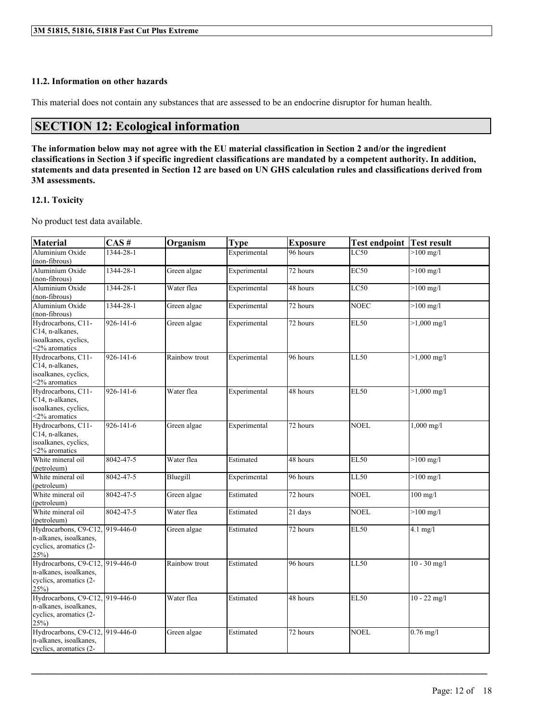#### **11.2. Information on other hazards**

This material does not contain any substances that are assessed to be an endocrine disruptor for human health.

### **SECTION 12: Ecological information**

The information below may not agree with the EU material classification in Section 2 and/or the ingredient classifications in Section 3 if specific ingredient classifications are mandated by a competent authority. In addition, statements and data presented in Section 12 are based on UN GHS calculation rules and classifications derived from **3M assessments.**

#### **12.1. Toxicity**

No product test data available.

| <b>Material</b>                                                                                | CAS#            | Organism      | <b>Type</b>  | <b>Exposure</b> | <b>Test endpoint</b> | <b>Test result</b>    |
|------------------------------------------------------------------------------------------------|-----------------|---------------|--------------|-----------------|----------------------|-----------------------|
| Aluminium Oxide<br>(non-fibrous)                                                               | 1344-28-1       |               | Experimental | 96 hours        | LC50                 | $>100$ mg/l           |
| Aluminium Oxide<br>(non-fibrous)                                                               | 1344-28-1       | Green algae   | Experimental | 72 hours        | <b>EC50</b>          | $>100$ mg/l           |
| Aluminium Oxide<br>(non-fibrous)                                                               | $1344 - 28 - 1$ | Water flea    | Experimental | 48 hours        | LC50                 | $>100$ mg/l           |
| Aluminium Oxide<br>(non-fibrous)                                                               | 1344-28-1       | Green algae   | Experimental | 72 hours        | <b>NOEC</b>          | $>100$ mg/l           |
| Hydrocarbons, C11-<br>C14, n-alkanes,<br>isoalkanes, cyclics,<br><2% aromatics                 | $926 - 141 - 6$ | Green algae   | Experimental | 72 hours        | <b>EL50</b>          | $>1,000 \text{ mg/l}$ |
| Hydrocarbons, C11-<br>C14, n-alkanes,<br>isoalkanes, cyclics,<br><2% aromatics                 | 926-141-6       | Rainbow trout | Experimental | 96 hours        | LL50                 | $>1,000 \text{ mg/l}$ |
| Hydrocarbons, C11-<br>C14, n-alkanes,<br>isoalkanes, cyclics,<br><2% aromatics                 | 926-141-6       | Water flea    | Experimental | 48 hours        | <b>EL50</b>          | $>1,000 \text{ mg/l}$ |
| Hydrocarbons, C11-<br>C14, n-alkanes,<br>isoalkanes, cyclics,<br><2% aromatics                 | 926-141-6       | Green algae   | Experimental | 72 hours        | <b>NOEL</b>          | $1,000 \text{ mg/l}$  |
| White mineral oil<br>(petroleum)                                                               | 8042-47-5       | Water flea    | Estimated    | 48 hours        | <b>EL50</b>          | $>100$ mg/l           |
| White mineral oil<br>(petroleum)                                                               | 8042-47-5       | Bluegill      | Experimental | 96 hours        | LL50                 | $>100$ mg/l           |
| White mineral oil<br>(petroleum)                                                               | 8042-47-5       | Green algae   | Estimated    | 72 hours        | <b>NOEL</b>          | $100$ mg/l            |
| White mineral oil<br>(petroleum)                                                               | 8042-47-5       | Water flea    | Estimated    | 21 days         | <b>NOEL</b>          | $>100$ mg/l           |
| Hydrocarbons, C9-C12, 919-446-0<br>n-alkanes, isoalkanes,<br>cyclics, aromatics (2-<br>25%     |                 | Green algae   | Estimated    | 72 hours        | <b>EL50</b>          | $4.1$ mg/l            |
| Hydrocarbons, C9-C12, 919-446-0<br>n-alkanes, isoalkanes,<br>cyclics, aromatics (2-<br>$25\%)$ |                 | Rainbow trout | Estimated    | 96 hours        | <b>LL50</b>          | $10 - 30$ mg/l        |
| Hydrocarbons, C9-C12, 919-446-0<br>n-alkanes, isoalkanes,<br>cyclics, aromatics (2-<br>$25\%)$ |                 | Water flea    | Estimated    | 48 hours        | <b>EL50</b>          | $10 - 22$ mg/l        |
| Hydrocarbons, C9-C12, 919-446-0<br>n-alkanes, isoalkanes,<br>cyclics, aromatics (2-            |                 | Green algae   | Estimated    | 72 hours        | <b>NOEL</b>          | $0.76$ mg/l           |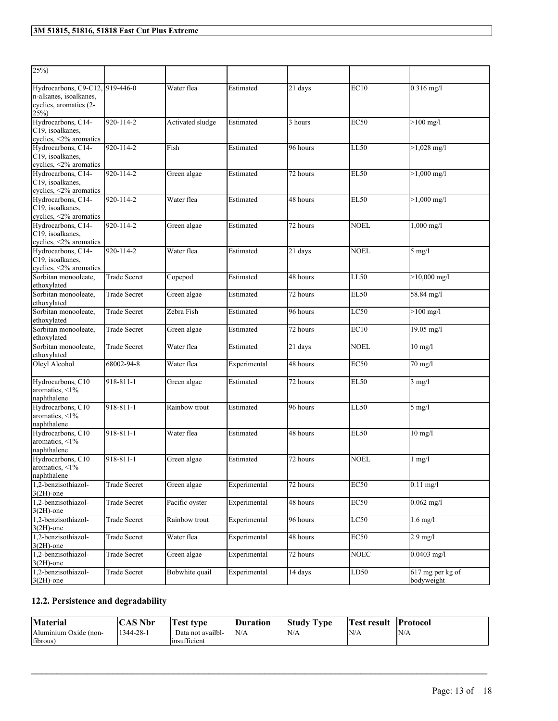| $25\%)$                                                                                    |                     |                  |              |          |                  |                                |
|--------------------------------------------------------------------------------------------|---------------------|------------------|--------------|----------|------------------|--------------------------------|
| Hydrocarbons, C9-C12, 919-446-0<br>n-alkanes, isoalkanes.<br>cyclics, aromatics (2-<br>25% |                     | Water flea       | Estimated    | 21 days  | EC <sub>10</sub> | $0.316$ mg/l                   |
| Hydrocarbons, C14-<br>C19, isoalkanes,<br>cyclics, $\leq$ 2% aromatics                     | 920-114-2           | Activated sludge | Estimated    | 3 hours  | <b>EC50</b>      | $>100$ mg/l                    |
| Hydrocarbons, C14-<br>C19, isoalkanes,<br>cyclics, <2% aromatics                           | 920-114-2           | Fish             | Estimated    | 96 hours | LL50             | $>1,028$ mg/l                  |
| Hydrocarbons, C14-<br>C19, isoalkanes.<br>cyclics, <2% aromatics                           | 920-114-2           | Green algae      | Estimated    | 72 hours | <b>EL50</b>      | $>1,000$ mg/l                  |
| Hydrocarbons, C14-<br>C19, isoalkanes,<br>cyclics, $\leq$ 2% aromatics                     | 920-114-2           | Water flea       | Estimated    | 48 hours | <b>EL50</b>      | $>1,000$ mg/l                  |
| Hydrocarbons, C14-<br>C19, isoalkanes,<br>cyclics, $\leq$ 2% aromatics                     | 920-114-2           | Green algae      | Estimated    | 72 hours | <b>NOEL</b>      | $1,000 \text{ mg/l}$           |
| Hydrocarbons, C14-<br>C19, isoalkanes,<br>cyclics, <2% aromatics                           | 920-114-2           | Water flea       | Estimated    | 21 days  | <b>NOEL</b>      | $5$ mg/l                       |
| Sorbitan monooleate,<br>ethoxylated                                                        | <b>Trade Secret</b> | Copepod          | Estimated    | 48 hours | LL50             | $>10,000$ mg/l                 |
| Sorbitan monooleate,<br>ethoxylated                                                        | <b>Trade Secret</b> | Green algae      | Estimated    | 72 hours | <b>EL50</b>      | 58.84 mg/l                     |
| Sorbitan monooleate,<br>ethoxylated                                                        | <b>Trade Secret</b> | Zebra Fish       | Estimated    | 96 hours | LC50             | $>100$ mg/l                    |
| Sorbitan monooleate,<br>ethoxylated                                                        | <b>Trade Secret</b> | Green algae      | Estimated    | 72 hours | EC10             | 19.05 mg/l                     |
| Sorbitan monooleate,<br>ethoxylated                                                        | <b>Trade Secret</b> | Water flea       | Estimated    | 21 days  | <b>NOEL</b>      | $10$ mg/l                      |
| Oleyl Alcohol                                                                              | 68002-94-8          | Water flea       | Experimental | 48 hours | EC <sub>50</sub> | $70 \text{ mg}/l$              |
| Hydrocarbons, C10<br>aromatics, $\leq 1\%$<br>naphthalene                                  | 918-811-1           | Green algae      | Estimated    | 72 hours | <b>EL50</b>      | $3$ mg/l                       |
| Hydrocarbons, C10<br>aromatics, $\leq 1\%$<br>naphthalene                                  | 918-811-1           | Rainbow trout    | Estimated    | 96 hours | <b>LL50</b>      | $5$ mg/l                       |
| Hydrocarbons, C10<br>aromatics, $\leq 1\%$<br>naphthalene                                  | $918 - 811 - 1$     | Water flea       | Estimated    | 48 hours | EL <sub>50</sub> | $10$ mg/l                      |
| Hydrocarbons, C10<br>aromatics, <1%<br>naphthalene                                         | 918-811-1           | Green algae      | Estimated    | 72 hours | <b>NOEL</b>      | $1 \text{ mg/l}$               |
| 1,2-benzisothiazol-<br>$3(2H)$ -one                                                        | <b>Trade Secret</b> | Green algae      | Experimental | 72 hours | <b>EC50</b>      | $0.11$ mg/l                    |
| 1,2-benzisothiazol-<br>$3(2H)$ -one                                                        | Trade Secret        | Pacific oyster   | Experimental | 48 hours | <b>EC50</b>      | $0.062$ mg/l                   |
| 1,2-benzisothiazol-<br>$3(2H)$ -one                                                        | <b>Trade Secret</b> | Rainbow trout    | Experimental | 96 hours | LC50             | $1.6$ mg/l                     |
| 1,2-benzisothiazol-<br>$3(2H)$ -one                                                        | Trade Secret        | Water flea       | Experimental | 48 hours | <b>EC50</b>      | $2.9$ mg/l                     |
| 1,2-benzisothiazol-<br>$3(2H)$ -one                                                        | <b>Trade Secret</b> | Green algae      | Experimental | 72 hours | <b>NOEC</b>      | $0.0403$ mg/l                  |
| 1,2-benzisothiazol-<br>$3(2H)$ -one                                                        | <b>Trade Secret</b> | Bobwhite quail   | Experimental | 14 days  | LD50             | 617 mg per kg of<br>bodyweight |

### **12.2. Persistence and degradability**

| <b>Material</b>       | <b>CAS Nbr</b> | rest type              | Duration | <b>CONTRACTOR</b><br>Study<br>I vpe | Fest result | <b>Protocol</b> |
|-----------------------|----------------|------------------------|----------|-------------------------------------|-------------|-----------------|
| Aluminium Oxide (non- | 1344-28-1      | Data not availbl-      | N/A      | N/A                                 | N/A         | 'N/A            |
| fibrous)              |                | $\sim$<br>Insufficient |          |                                     |             |                 |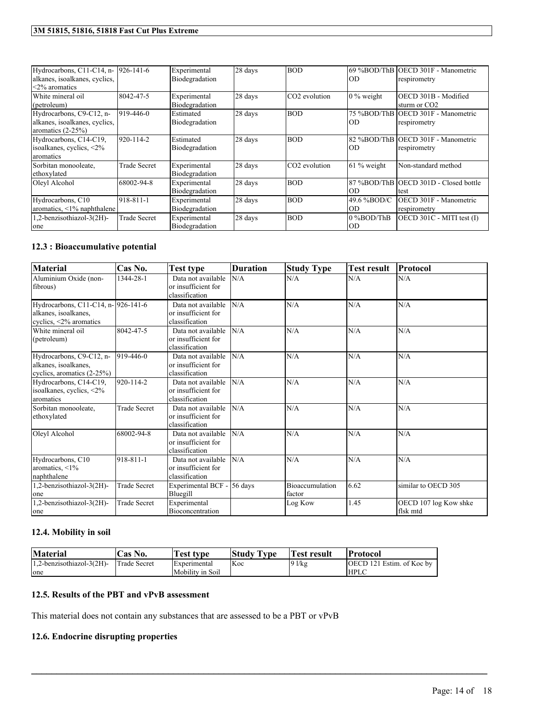| Hydrocarbons, C11-C14, n- 926-141-6<br>alkanes, isoalkanes, cyclics,<br><2% aromatics |                     | Experimental<br>Biodegradation | 28 days | <b>BOD</b>                | OD                 | 69 %BOD/ThB OECD 301F - Manometric<br>respirometry |
|---------------------------------------------------------------------------------------|---------------------|--------------------------------|---------|---------------------------|--------------------|----------------------------------------------------|
| White mineral oil<br>(petroleum)                                                      | 8042-47-5           | Experimental<br>Biodegradation | 28 days | CO <sub>2</sub> evolution | $0\%$ weight       | OECD 301B - Modified<br>sturm or CO <sub>2</sub>   |
| Hydrocarbons, C9-C12, n-<br>alkanes, isoalkanes, cyclics,<br>aromatics $(2-25%)$      | 919-446-0           | Estimated<br>Biodegradation    | 28 days | <b>BOD</b>                | IOD                | 75 %BOD/ThB OECD 301F - Manometric<br>respirometry |
| Hydrocarbons, C14-C19,<br>isoalkanes, cyclics, $\leq 2\%$<br>aromatics                | 920-114-2           | Estimated<br>Biodegradation    | 28 days | <b>BOD</b>                | IOD                | 82 %BOD/ThB OECD 301F - Manometric<br>respirometry |
| Sorbitan monooleate,<br>ethoxylated                                                   | <b>Trade Secret</b> | Experimental<br>Biodegradation | 28 days | CO <sub>2</sub> evolution | $61\%$ weight      | Non-standard method                                |
| Oleyl Alcohol                                                                         | 68002-94-8          | Experimental<br>Biodegradation | 28 days | <b>BOD</b>                | OD                 | 87 %BOD/ThB OECD 301D - Closed bottle<br>test      |
| Hydrocarbons, C10<br>aromatics, $\leq 1\%$ naphthalene                                | 918-811-1           | Experimental<br>Biodegradation | 28 days | <b>BOD</b>                | 49.6 %BOD/C<br> OD | OECD 301F - Manometric<br>respirometry             |
| 1,2-benzisothiazol-3(2H)-<br>one                                                      | <b>Trade Secret</b> | Experimental<br>Biodegradation | 28 days | <b>BOD</b>                | 0 %BOD/ThB<br>IOD  | $[OECD 301C - MITI test (I)]$                      |

### **12.3 : Bioaccumulative potential**

| <b>Material</b>                                                                              | Cas No.             | <b>Test type</b>                                            | <b>Duration</b> | <b>Study Type</b>         | <b>Test result</b> | Protocol                          |
|----------------------------------------------------------------------------------------------|---------------------|-------------------------------------------------------------|-----------------|---------------------------|--------------------|-----------------------------------|
| Aluminium Oxide (non-<br>fibrous)                                                            | 1344-28-1           | Data not available<br>or insufficient for<br>classification | N/A             | N/A                       | N/A                | N/A                               |
| Hydrocarbons, C11-C14, n- 926-141-6<br>alkanes, isoalkanes,<br>cyclics, $\leq 2\%$ aromatics |                     | Data not available<br>or insufficient for<br>classification | N/A             | N/A                       | N/A                | N/A                               |
| White mineral oil<br>(petroleum)                                                             | 8042-47-5           | Data not available<br>or insufficient for<br>classification | N/A             | N/A                       | N/A                | N/A                               |
| Hydrocarbons, C9-C12, n-<br>alkanes, isoalkanes,<br>cyclics, aromatics $(2-25%)$             | $919-446-0$         | Data not available<br>or insufficient for<br>classification | N/A             | N/A                       | N/A                | N/A                               |
| Hydrocarbons, C14-C19,<br>isoalkanes, cyclics, $\leq 2\%$<br>aromatics                       | 920-114-2           | Data not available<br>or insufficient for<br>classification | N/A             | N/A                       | N/A                | N/A                               |
| Sorbitan monooleate.<br>ethoxylated                                                          | <b>Trade Secret</b> | Data not available<br>or insufficient for<br>classification | N/A             | N/A                       | N/A                | N/A                               |
| Oleyl Alcohol                                                                                | 68002-94-8          | Data not available<br>or insufficient for<br>classification | N/A             | N/A                       | N/A                | N/A                               |
| Hydrocarbons, C10<br>aromatics, $\leq 1\%$<br>naphthalene                                    | 918-811-1           | Data not available<br>or insufficient for<br>classification | N/A             | N/A                       | N/A                | N/A                               |
| 1,2-benzisothiazol-3(2H)-<br>one                                                             | <b>Trade Secret</b> | Experimental BCF -<br>Bluegill                              | 56 days         | Bioaccumulation<br>factor | 6.62               | similar to OECD 305               |
| 1,2-benzisothiazol-3(2H)-<br>one                                                             | <b>Trade Secret</b> | Experimental<br>Bioconcentration                            |                 | Log Kow                   | 1.45               | OECD 107 log Kow shke<br>flsk mtd |

#### **12.4. Mobility in soil**

| <b>Material</b>              | Cas No.      | <b>Test type</b> | Study Type | <b>Test result</b> | <b>Protocol</b>                   |
|------------------------------|--------------|------------------|------------|--------------------|-----------------------------------|
| $1.2$ -benzisothiazol-3(2H)- | Trade Secret | Experimental     | Koc        | $91$ /kg           | <b>IOECD 121 Estim.</b> of Koc by |
| one                          |              | Mobility in Soil |            |                    | <b>HPLC</b>                       |

 $\mathcal{L}_\mathcal{L} = \mathcal{L}_\mathcal{L} = \mathcal{L}_\mathcal{L} = \mathcal{L}_\mathcal{L} = \mathcal{L}_\mathcal{L} = \mathcal{L}_\mathcal{L} = \mathcal{L}_\mathcal{L} = \mathcal{L}_\mathcal{L} = \mathcal{L}_\mathcal{L} = \mathcal{L}_\mathcal{L} = \mathcal{L}_\mathcal{L} = \mathcal{L}_\mathcal{L} = \mathcal{L}_\mathcal{L} = \mathcal{L}_\mathcal{L} = \mathcal{L}_\mathcal{L} = \mathcal{L}_\mathcal{L} = \mathcal{L}_\mathcal{L}$ 

### **12.5. Results of the PBT and vPvB assessment**

This material does not contain any substances that are assessed to be a PBT or vPvB

#### **12.6. Endocrine disrupting properties**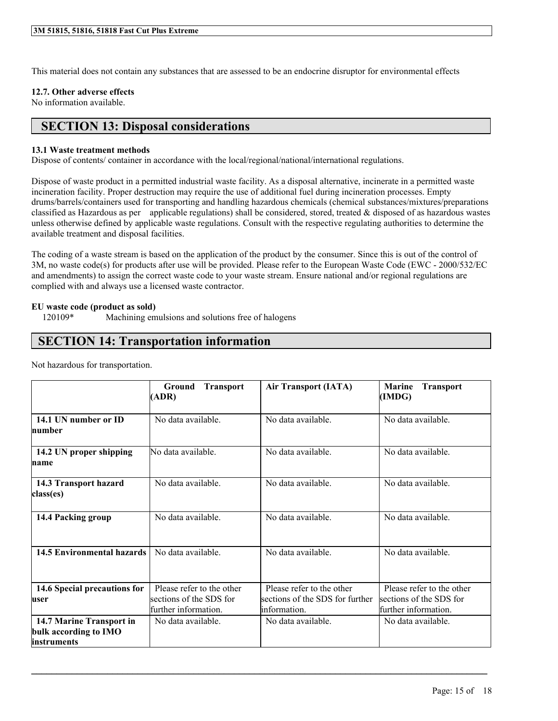This material does not contain any substances that are assessed to be an endocrine disruptor for environmental effects

#### **12.7. Other adverse effects**

No information available.

### **SECTION 13: Disposal considerations**

#### **13.1 Waste treatment methods**

Dispose of contents/ container in accordance with the local/regional/national/international regulations.

Dispose of waste product in a permitted industrial waste facility. As a disposal alternative, incinerate in a permitted waste incineration facility. Proper destruction may require the use of additional fuel during incineration processes. Empty drums/barrels/containers used for transporting and handling hazardous chemicals (chemical substances/mixtures/preparations classified as Hazardous as per applicable regulations) shall be considered, stored, treated  $\&$  disposed of as hazardous wastes unless otherwise defined by applicable waste regulations. Consult with the respective regulating authorities to determine the available treatment and disposal facilities.

The coding of a waste stream is based on the application of the product by the consumer. Since this is out of the control of 3M, no waste code(s) for products after use will be provided. Please refer to the European Waste Code (EWC - 2000/532/EC and amendments) to assign the correct waste code to your waste stream. Ensure national and/or regional regulations are complied with and always use a licensed waste contractor.

#### **EU waste code (product as sold)**

120109\* Machining emulsions and solutions free of halogens

### **SECTION 14: Transportation information**

Not hazardous for transportation.

|                                                                  | Ground<br><b>Transport</b><br>(ADR)                                          | <b>Air Transport (IATA)</b>                                                  | <b>Marine</b><br><b>Transport</b><br>(IMDG)                                  |
|------------------------------------------------------------------|------------------------------------------------------------------------------|------------------------------------------------------------------------------|------------------------------------------------------------------------------|
| 14.1 UN number or ID<br>humber                                   | No data available.                                                           | No data available.                                                           | No data available.                                                           |
| 14.2 UN proper shipping<br>mame                                  | No data available.                                                           | No data available.                                                           | No data available.                                                           |
| 14.3 Transport hazard<br>class(es)                               | No data available.                                                           | No data available.                                                           | No data available.                                                           |
| 14.4 Packing group                                               | No data available                                                            | No data available                                                            | No data available.                                                           |
| <b>14.5 Environmental hazards</b>                                | No data available.                                                           | No data available.                                                           | No data available.                                                           |
| 14.6 Special precautions for<br>luser                            | Please refer to the other<br>sections of the SDS for<br>further information. | Please refer to the other<br>sections of the SDS for further<br>information. | Please refer to the other<br>sections of the SDS for<br>further information. |
| 14.7 Marine Transport in<br>bulk according to IMO<br>instruments | No data available.                                                           | No data available.                                                           | No data available.                                                           |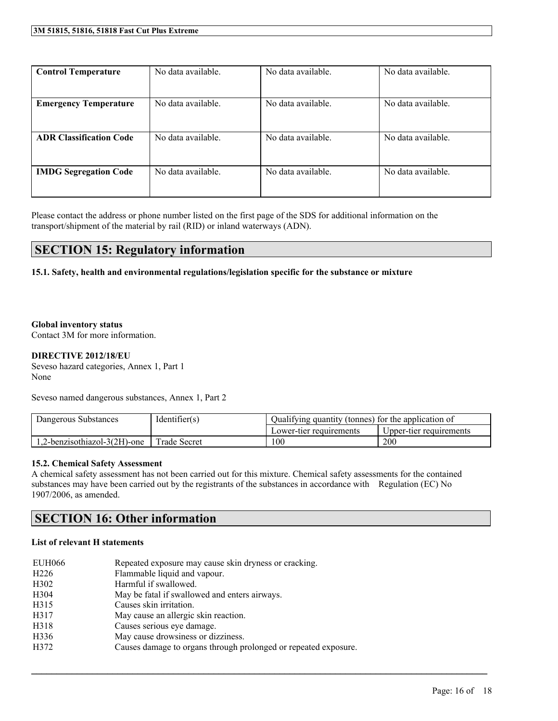| <b>Control Temperature</b>     | No data available. | No data available. | No data available. |
|--------------------------------|--------------------|--------------------|--------------------|
|                                |                    |                    |                    |
| <b>Emergency Temperature</b>   | No data available. | No data available. | No data available. |
|                                |                    |                    |                    |
| <b>ADR Classification Code</b> | No data available. | No data available. | No data available. |
|                                |                    |                    |                    |
| <b>IMDG Segregation Code</b>   | No data available. | No data available. | No data available. |
|                                |                    |                    |                    |

Please contact the address or phone number listed on the first page of the SDS for additional information on the transport/shipment of the material by rail (RID) or inland waterways (ADN).

### **SECTION 15: Regulatory information**

#### **15.1. Safety, health and environmental regulations/legislation specific for the substance or mixture**

#### **Global inventory status**

Contact 3M for more information.

#### **DIRECTIVE 2012/18/EU**

Seveso hazard categories, Annex 1, Part 1 None

Seveso named dangerous substances, Annex 1, Part 2

| Dangerous Substances         | Identifier(s)       | Qualifying quantity (tonnes) for the application of |                         |
|------------------------------|---------------------|-----------------------------------------------------|-------------------------|
|                              |                     | Lower-tier requirements                             | Upper-tier requirements |
| 1,2-benzisothiazol-3(2H)-one | <b>Trade Secret</b> | 100                                                 | 200                     |

 $\mathcal{L}_\mathcal{L} = \mathcal{L}_\mathcal{L} = \mathcal{L}_\mathcal{L} = \mathcal{L}_\mathcal{L} = \mathcal{L}_\mathcal{L} = \mathcal{L}_\mathcal{L} = \mathcal{L}_\mathcal{L} = \mathcal{L}_\mathcal{L} = \mathcal{L}_\mathcal{L} = \mathcal{L}_\mathcal{L} = \mathcal{L}_\mathcal{L} = \mathcal{L}_\mathcal{L} = \mathcal{L}_\mathcal{L} = \mathcal{L}_\mathcal{L} = \mathcal{L}_\mathcal{L} = \mathcal{L}_\mathcal{L} = \mathcal{L}_\mathcal{L}$ 

#### **15.2. Chemical Safety Assessment**

A chemical safety assessment has not been carried out for this mixture. Chemical safety assessments for the contained substances may have been carried out by the registrants of the substances in accordance with Regulation (EC) No 1907/2006, as amended.

### **SECTION 16: Other information**

#### **List of relevant H statements**

| <b>EUH066</b>     | Repeated exposure may cause skin dryness or cracking.           |
|-------------------|-----------------------------------------------------------------|
| H <sub>226</sub>  | Flammable liquid and vapour.                                    |
| H <sub>3</sub> 02 | Harmful if swallowed.                                           |
| H304              | May be fatal if swallowed and enters airways.                   |
| H315              | Causes skin irritation.                                         |
| H317              | May cause an allergic skin reaction.                            |
| H318              | Causes serious eye damage.                                      |
| H336              | May cause drowsiness or dizziness.                              |
| H372              | Causes damage to organs through prolonged or repeated exposure. |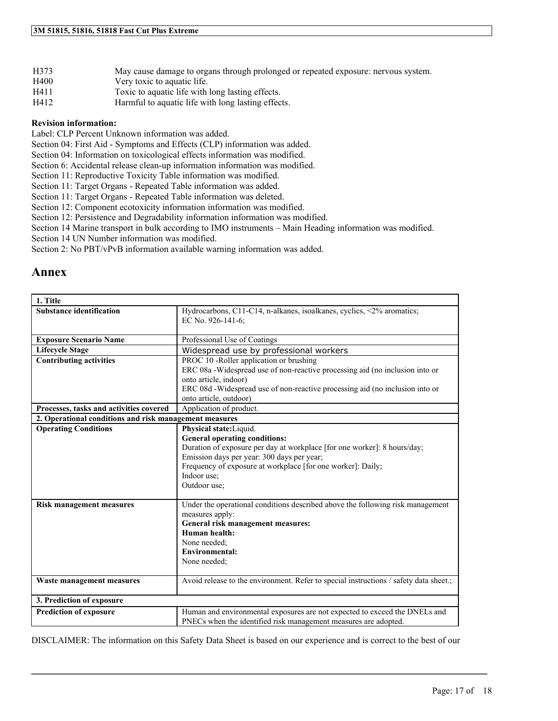| H373 | May cause damage to organs through prolonged or repeated exposure: nervous system. |
|------|------------------------------------------------------------------------------------|
| H400 | Very toxic to aquatic life.                                                        |
| H411 | Toxic to aquatic life with long lasting effects.                                   |
| H412 | Harmful to aquatic life with long lasting effects.                                 |

#### **Revision information:**

Label: CLP Percent Unknown information was added.

Section 04: First Aid - Symptoms and Effects (CLP) information was added.

Section 04: Information on toxicological effects information was modified.

Section 6: Accidental release clean-up information information was modified.

Section 11: Reproductive Toxicity Table information was modified.

Section 11: Target Organs - Repeated Table information was added.

Section 11: Target Organs - Repeated Table information was deleted.

Section 12: Component ecotoxicity information information was modified.

Section 12: Persistence and Degradability information information was modified.

Section 14 Marine transport in bulk according to IMO instruments – Main Heading information was modified.

Section 14 UN Number information was modified.

Section 2: No PBT/vPvB information available warning information was added.

### **Annex**

| 1. Title                                               |                                                                                                                        |
|--------------------------------------------------------|------------------------------------------------------------------------------------------------------------------------|
| <b>Substance identification</b>                        | Hydrocarbons, C11-C14, n-alkanes, isoalkanes, cyclics, <2% aromatics;<br>EC No. 926-141-6;                             |
| <b>Exposure Scenario Name</b>                          | Professional Use of Coatings                                                                                           |
| <b>Lifecycle Stage</b>                                 | Widespread use by professional workers                                                                                 |
| <b>Contributing activities</b>                         | PROC 10 -Roller application or brushing                                                                                |
|                                                        | ERC 08a -Widespread use of non-reactive processing aid (no inclusion into or                                           |
|                                                        | onto article, indoor)                                                                                                  |
|                                                        | ERC 08d -Widespread use of non-reactive processing aid (no inclusion into or                                           |
|                                                        | onto article, outdoor)                                                                                                 |
| Processes, tasks and activities covered                | Application of product.                                                                                                |
| 2. Operational conditions and risk management measures |                                                                                                                        |
| <b>Operating Conditions</b>                            | Physical state:Liquid.                                                                                                 |
|                                                        | <b>General operating conditions:</b>                                                                                   |
|                                                        | Duration of exposure per day at workplace [for one worker]: 8 hours/day;<br>Emission days per year: 300 days per year; |
|                                                        | Frequency of exposure at workplace [for one worker]: Daily;                                                            |
|                                                        | Indoor use;                                                                                                            |
|                                                        | Outdoor use;                                                                                                           |
|                                                        |                                                                                                                        |
| <b>Risk management measures</b>                        | Under the operational conditions described above the following risk management                                         |
|                                                        | measures apply:                                                                                                        |
|                                                        | General risk management measures:                                                                                      |
|                                                        | Human health:                                                                                                          |
|                                                        | None needed:                                                                                                           |
|                                                        | Environmental:                                                                                                         |
|                                                        | None needed:                                                                                                           |
| Waste management measures                              | Avoid release to the environment. Refer to special instructions / safety data sheet.;                                  |
| 3. Prediction of exposure                              |                                                                                                                        |
| <b>Prediction of exposure</b>                          | Human and environmental exposures are not expected to exceed the DNELs and                                             |
|                                                        | PNECs when the identified risk management measures are adopted.                                                        |

DISCLAIMER: The information on this Safety Data Sheet is based on our experience and is correct to the best of our